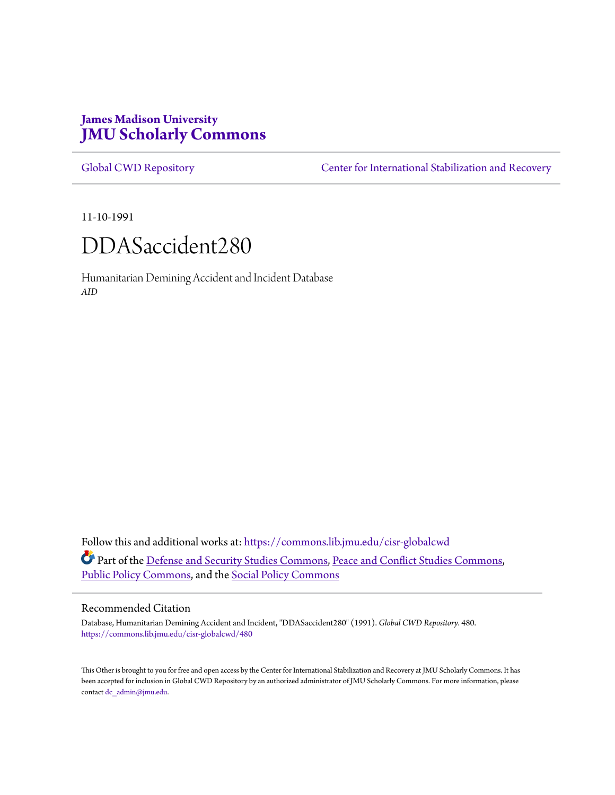## **James Madison University [JMU Scholarly Commons](https://commons.lib.jmu.edu?utm_source=commons.lib.jmu.edu%2Fcisr-globalcwd%2F480&utm_medium=PDF&utm_campaign=PDFCoverPages)**

[Global CWD Repository](https://commons.lib.jmu.edu/cisr-globalcwd?utm_source=commons.lib.jmu.edu%2Fcisr-globalcwd%2F480&utm_medium=PDF&utm_campaign=PDFCoverPages) **[Center for International Stabilization and Recovery](https://commons.lib.jmu.edu/cisr?utm_source=commons.lib.jmu.edu%2Fcisr-globalcwd%2F480&utm_medium=PDF&utm_campaign=PDFCoverPages)** 

11-10-1991



Humanitarian Demining Accident and Incident Database *AID*

Follow this and additional works at: [https://commons.lib.jmu.edu/cisr-globalcwd](https://commons.lib.jmu.edu/cisr-globalcwd?utm_source=commons.lib.jmu.edu%2Fcisr-globalcwd%2F480&utm_medium=PDF&utm_campaign=PDFCoverPages) Part of the [Defense and Security Studies Commons](http://network.bepress.com/hgg/discipline/394?utm_source=commons.lib.jmu.edu%2Fcisr-globalcwd%2F480&utm_medium=PDF&utm_campaign=PDFCoverPages), [Peace and Conflict Studies Commons](http://network.bepress.com/hgg/discipline/397?utm_source=commons.lib.jmu.edu%2Fcisr-globalcwd%2F480&utm_medium=PDF&utm_campaign=PDFCoverPages), [Public Policy Commons,](http://network.bepress.com/hgg/discipline/400?utm_source=commons.lib.jmu.edu%2Fcisr-globalcwd%2F480&utm_medium=PDF&utm_campaign=PDFCoverPages) and the [Social Policy Commons](http://network.bepress.com/hgg/discipline/1030?utm_source=commons.lib.jmu.edu%2Fcisr-globalcwd%2F480&utm_medium=PDF&utm_campaign=PDFCoverPages)

#### Recommended Citation

Database, Humanitarian Demining Accident and Incident, "DDASaccident280" (1991). *Global CWD Repository*. 480. [https://commons.lib.jmu.edu/cisr-globalcwd/480](https://commons.lib.jmu.edu/cisr-globalcwd/480?utm_source=commons.lib.jmu.edu%2Fcisr-globalcwd%2F480&utm_medium=PDF&utm_campaign=PDFCoverPages)

This Other is brought to you for free and open access by the Center for International Stabilization and Recovery at JMU Scholarly Commons. It has been accepted for inclusion in Global CWD Repository by an authorized administrator of JMU Scholarly Commons. For more information, please contact [dc\\_admin@jmu.edu.](mailto:dc_admin@jmu.edu)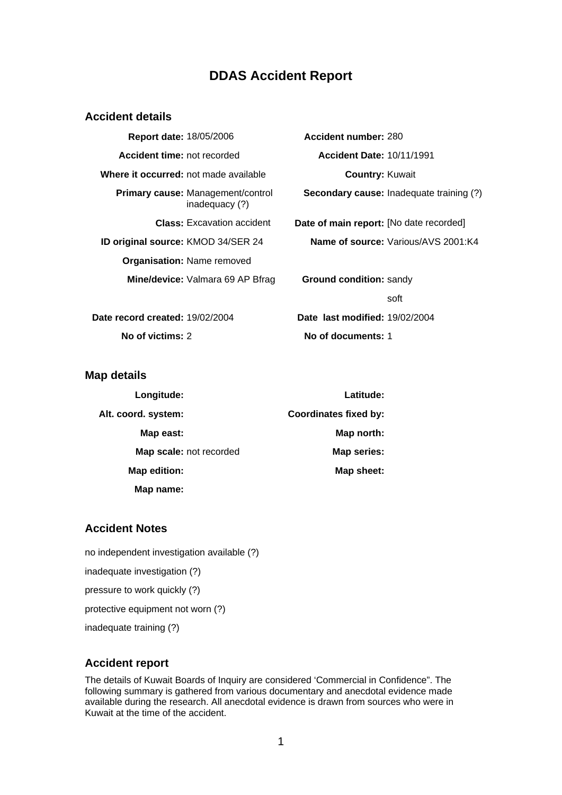# **DDAS Accident Report**

#### **Accident details**

| <b>Report date: 18/05/2006</b>                             | Accident number: 280                            |
|------------------------------------------------------------|-------------------------------------------------|
| Accident time: not recorded                                | <b>Accident Date: 10/11/1991</b>                |
| Where it occurred: not made available                      | <b>Country: Kuwait</b>                          |
| <b>Primary cause: Management/control</b><br>inadequacy (?) | <b>Secondary cause:</b> Inadequate training (?) |
| <b>Class:</b> Excavation accident                          | Date of main report: [No date recorded]         |
| <b>ID original source: KMOD 34/SER 24</b>                  | <b>Name of source:</b> Various/AVS 2001:K4      |
| <b>Organisation: Name removed</b>                          |                                                 |
| Mine/device: Valmara 69 AP Bfrag                           | Ground condition: sandy                         |
|                                                            | soft                                            |
| Date record created: 19/02/2004                            | Date last modified: 19/02/2004                  |
| No of victims: 2                                           | No of documents: 1                              |

**Map details** 

| Longitude:              | Latitude:                    |
|-------------------------|------------------------------|
| Alt. coord. system:     | <b>Coordinates fixed by:</b> |
| Map east:               | Map north:                   |
| Map scale: not recorded | Map series:                  |
| Map edition:            | Map sheet:                   |
| Map name:               |                              |

#### **Accident Notes**

no independent investigation available (?) inadequate investigation (?) pressure to work quickly (?) protective equipment not worn (?)

inadequate training (?)

#### **Accident report**

The details of Kuwait Boards of Inquiry are considered 'Commercial in Confidence". The following summary is gathered from various documentary and anecdotal evidence made available during the research. All anecdotal evidence is drawn from sources who were in Kuwait at the time of the accident.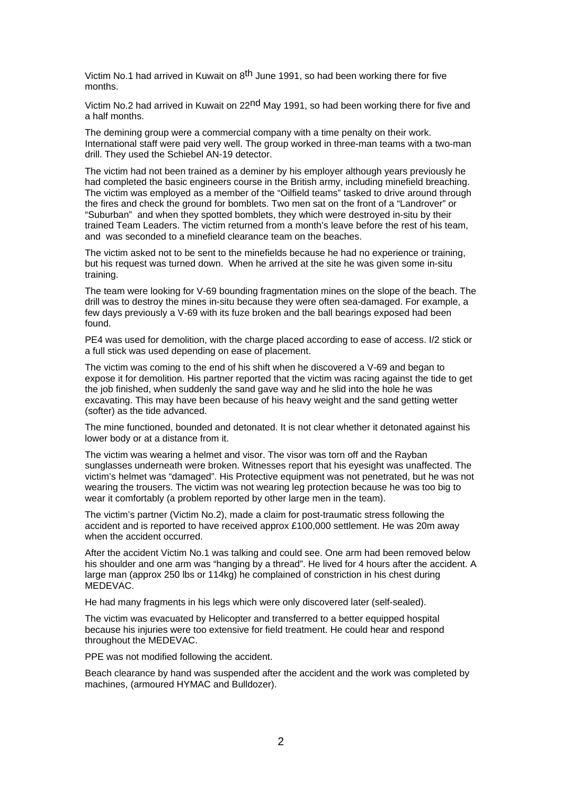Victim No.1 had arrived in Kuwait on 8th June 1991, so had been working there for five months.

Victim No.2 had arrived in Kuwait on 22nd May 1991, so had been working there for five and a half months.

The demining group were a commercial company with a time penalty on their work. International staff were paid very well. The group worked in three-man teams with a two-man drill. They used the Schiebel AN-19 detector.

The victim had not been trained as a deminer by his employer although years previously he had completed the basic engineers course in the British army, including minefield breaching. The victim was employed as a member of the "Oilfield teams" tasked to drive around through the fires and check the ground for bomblets. Two men sat on the front of a "Landrover" or "Suburban" and when they spotted bomblets, they which were destroyed in-situ by their trained Team Leaders. The victim returned from a month's leave before the rest of his team, and was seconded to a minefield clearance team on the beaches.

The victim asked not to be sent to the minefields because he had no experience or training, but his request was turned down.When he arrived at the site he was given some in-situ training.

The team were looking for V-69 bounding fragmentation mines on the slope of the beach. The drill was to destroy the mines in-situ because they were often sea-damaged. For example, a few days previously a V-69 with its fuze broken and the ball bearings exposed had been found.

PE4 was used for demolition, with the charge placed according to ease of access. I/2 stick or a full stick was used depending on ease of placement.

The victim was coming to the end of his shift when he discovered a V-69 and began to expose it for demolition. His partner reported that the victim was racing against the tide to get the job finished, when suddenly the sand gave way and he slid into the hole he was excavating. This may have been because of his heavy weight and the sand getting wetter (softer) as the tide advanced.

The mine functioned, bounded and detonated. It is not clear whether it detonated against his lower body or at a distance from it.

The victim was wearing a helmet and visor. The visor was torn off and the Rayban sunglasses underneath were broken. Witnesses report that his eyesight was unaffected. The victim's helmet was "damaged". His Protective equipment was not penetrated, but he was not wearing the trousers. The victim was not wearing leg protection because he was too big to wear it comfortably (a problem reported by other large men in the team).

The victim's partner (Victim No.2), made a claim for post-traumatic stress following the accident and is reported to have received approx £100,000 settlement. He was 20m away when the accident occurred.

After the accident Victim No.1 was talking and could see. One arm had been removed below his shoulder and one arm was "hanging by a thread". He lived for 4 hours after the accident. A large man (approx 250 lbs or 114kg) he complained of constriction in his chest during MEDEVAC.

He had many fragments in his legs which were only discovered later (self-sealed).

The victim was evacuated by Helicopter and transferred to a better equipped hospital because his injuries were too extensive for field treatment. He could hear and respond throughout the MEDEVAC.

PPE was not modified following the accident.

Beach clearance by hand was suspended after the accident and the work was completed by machines, (armoured HYMAC and Bulldozer).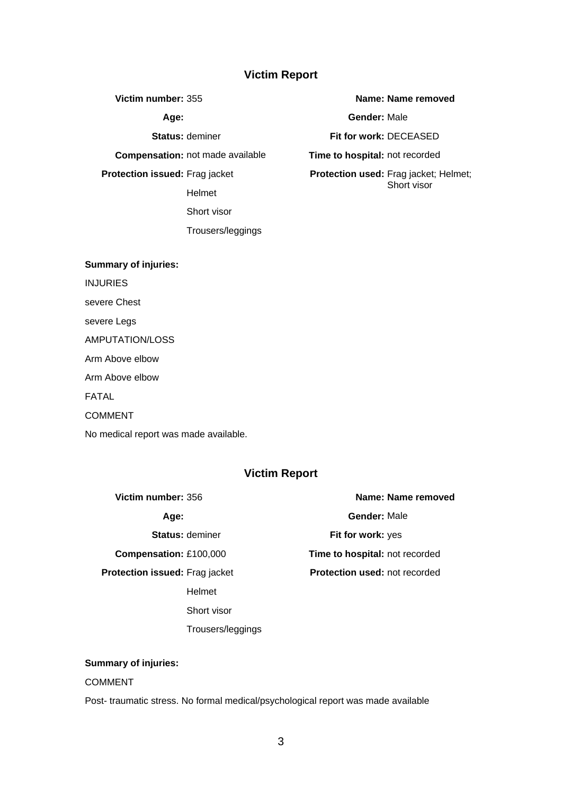#### **Victim Report**

**Compensation:** not made available **Time to hospital:** not recorded

**Protection issued:** Frag jacket

Helmet

Short visor

Trousers/leggings

**Victim number:** 355 **Name: Name removed**

**Age: Gender:** Male

**Status:** deminer **Fit for work:** DECEASED

**Protection used:** Frag jacket; Helmet; Short visor

#### **Summary of injuries:**

INJURIES

severe Chest

severe Legs

AMPUTATION/LOSS

Arm Above elbow

Arm Above elbow

FATAL

COMMENT

No medical report was made available.

#### **Victim Report**

**Victim number:** 356 **Name: Name: Name: Name** removed

**Protection issued:** Frag jacket

Helmet

Short visor

Trousers/leggings

**Age: Gender:** Male **Status:** deminer **Fit for work:** yes **Compensation:** £100,000 **Time to hospital:** not recorded **Protection used:** not recorded

**Summary of injuries:**

#### COMMENT

Post- traumatic stress. No formal medical/psychological report was made available